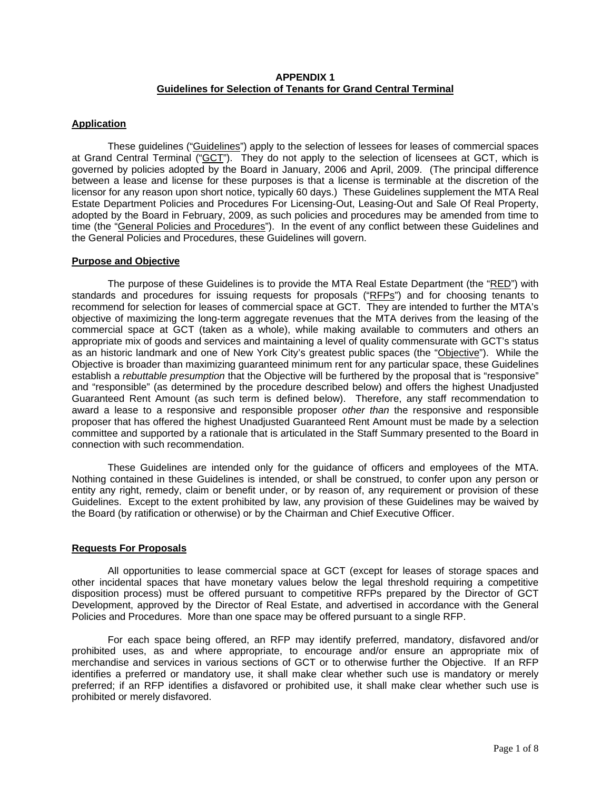### **APPENDIX 1 Guidelines for Selection of Tenants for Grand Central Terminal**

# **Application**

These guidelines ("Guidelines") apply to the selection of lessees for leases of commercial spaces at Grand Central Terminal ("GCT"). They do not apply to the selection of licensees at GCT, which is governed by policies adopted by the Board in January, 2006 and April, 2009. (The principal difference between a lease and license for these purposes is that a license is terminable at the discretion of the licensor for any reason upon short notice, typically 60 days.) These Guidelines supplement the MTA Real Estate Department Policies and Procedures For Licensing-Out, Leasing-Out and Sale Of Real Property, adopted by the Board in February, 2009, as such policies and procedures may be amended from time to time (the "General Policies and Procedures"). In the event of any conflict between these Guidelines and the General Policies and Procedures, these Guidelines will govern.

#### **Purpose and Objective**

The purpose of these Guidelines is to provide the MTA Real Estate Department (the "RED") with standards and procedures for issuing requests for proposals ("RFPs") and for choosing tenants to recommend for selection for leases of commercial space at GCT. They are intended to further the MTA's objective of maximizing the long-term aggregate revenues that the MTA derives from the leasing of the commercial space at GCT (taken as a whole), while making available to commuters and others an appropriate mix of goods and services and maintaining a level of quality commensurate with GCT's status as an historic landmark and one of New York City's greatest public spaces (the "Objective"). While the Objective is broader than maximizing guaranteed minimum rent for any particular space, these Guidelines establish a *rebuttable presumption* that the Objective will be furthered by the proposal that is "responsive" and "responsible" (as determined by the procedure described below) and offers the highest Unadjusted Guaranteed Rent Amount (as such term is defined below). Therefore, any staff recommendation to award a lease to a responsive and responsible proposer *other than* the responsive and responsible proposer that has offered the highest Unadjusted Guaranteed Rent Amount must be made by a selection committee and supported by a rationale that is articulated in the Staff Summary presented to the Board in connection with such recommendation.

These Guidelines are intended only for the guidance of officers and employees of the MTA. Nothing contained in these Guidelines is intended, or shall be construed, to confer upon any person or entity any right, remedy, claim or benefit under, or by reason of, any requirement or provision of these Guidelines. Except to the extent prohibited by law, any provision of these Guidelines may be waived by the Board (by ratification or otherwise) or by the Chairman and Chief Executive Officer.

#### **Requests For Proposals**

 All opportunities to lease commercial space at GCT (except for leases of storage spaces and other incidental spaces that have monetary values below the legal threshold requiring a competitive disposition process) must be offered pursuant to competitive RFPs prepared by the Director of GCT Development, approved by the Director of Real Estate, and advertised in accordance with the General Policies and Procedures. More than one space may be offered pursuant to a single RFP.

For each space being offered, an RFP may identify preferred, mandatory, disfavored and/or prohibited uses, as and where appropriate, to encourage and/or ensure an appropriate mix of merchandise and services in various sections of GCT or to otherwise further the Objective. If an RFP identifies a preferred or mandatory use, it shall make clear whether such use is mandatory or merely preferred; if an RFP identifies a disfavored or prohibited use, it shall make clear whether such use is prohibited or merely disfavored.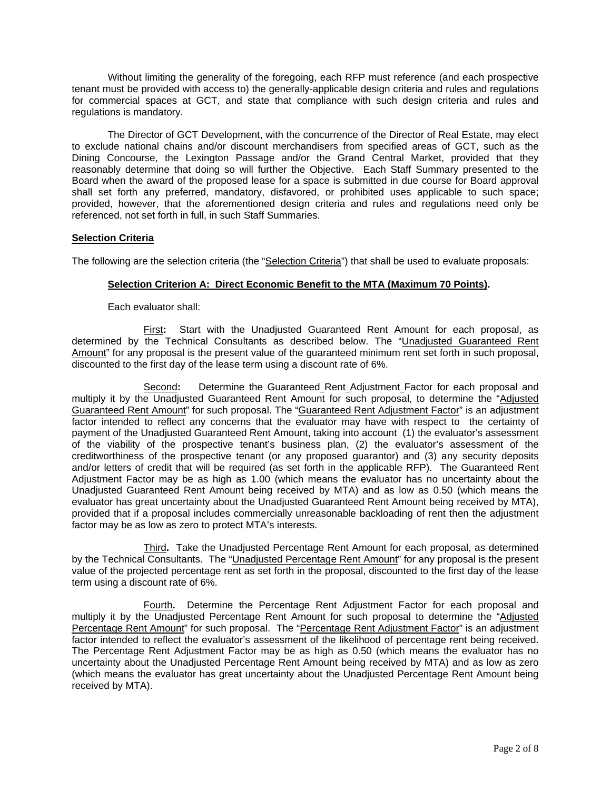Without limiting the generality of the foregoing, each RFP must reference (and each prospective tenant must be provided with access to) the generally-applicable design criteria and rules and regulations for commercial spaces at GCT, and state that compliance with such design criteria and rules and regulations is mandatory.

The Director of GCT Development, with the concurrence of the Director of Real Estate, may elect to exclude national chains and/or discount merchandisers from specified areas of GCT, such as the Dining Concourse, the Lexington Passage and/or the Grand Central Market, provided that they reasonably determine that doing so will further the Objective. Each Staff Summary presented to the Board when the award of the proposed lease for a space is submitted in due course for Board approval shall set forth any preferred, mandatory, disfavored, or prohibited uses applicable to such space; provided, however, that the aforementioned design criteria and rules and regulations need only be referenced, not set forth in full, in such Staff Summaries.

## **Selection Criteria**

The following are the selection criteria (the "Selection Criteria") that shall be used to evaluate proposals:

## **Selection Criterion A: Direct Economic Benefit to the MTA (Maximum 70 Points).**

Each evaluator shall:

First**:** Start with the Unadjusted Guaranteed Rent Amount for each proposal, as determined by the Technical Consultants as described below. The "Unadjusted Guaranteed Rent Amount" for any proposal is the present value of the guaranteed minimum rent set forth in such proposal, discounted to the first day of the lease term using a discount rate of 6%.

Second**:** Determine the Guaranteed Rent Adjustment Factor for each proposal and multiply it by the Unadjusted Guaranteed Rent Amount for such proposal, to determine the "Adjusted Guaranteed Rent Amount" for such proposal. The "Guaranteed Rent Adjustment Factor" is an adjustment factor intended to reflect any concerns that the evaluator may have with respect to the certainty of payment of the Unadjusted Guaranteed Rent Amount, taking into account (1) the evaluator's assessment of the viability of the prospective tenant's business plan, (2) the evaluator's assessment of the creditworthiness of the prospective tenant (or any proposed guarantor) and (3) any security deposits and/or letters of credit that will be required (as set forth in the applicable RFP). The Guaranteed Rent Adjustment Factor may be as high as 1.00 (which means the evaluator has no uncertainty about the Unadjusted Guaranteed Rent Amount being received by MTA) and as low as 0.50 (which means the evaluator has great uncertainty about the Unadjusted Guaranteed Rent Amount being received by MTA), provided that if a proposal includes commercially unreasonable backloading of rent then the adjustment factor may be as low as zero to protect MTA's interests.

Third**.** Take the Unadjusted Percentage Rent Amount for each proposal, as determined by the Technical Consultants. The "Unadjusted Percentage Rent Amount" for any proposal is the present value of the projected percentage rent as set forth in the proposal, discounted to the first day of the lease term using a discount rate of 6%.

Fourth**.** Determine the Percentage Rent Adjustment Factor for each proposal and multiply it by the Unadjusted Percentage Rent Amount for such proposal to determine the "Adjusted Percentage Rent Amount" for such proposal. The "Percentage Rent Adjustment Factor" is an adjustment factor intended to reflect the evaluator's assessment of the likelihood of percentage rent being received. The Percentage Rent Adjustment Factor may be as high as 0.50 (which means the evaluator has no uncertainty about the Unadjusted Percentage Rent Amount being received by MTA) and as low as zero (which means the evaluator has great uncertainty about the Unadjusted Percentage Rent Amount being received by MTA).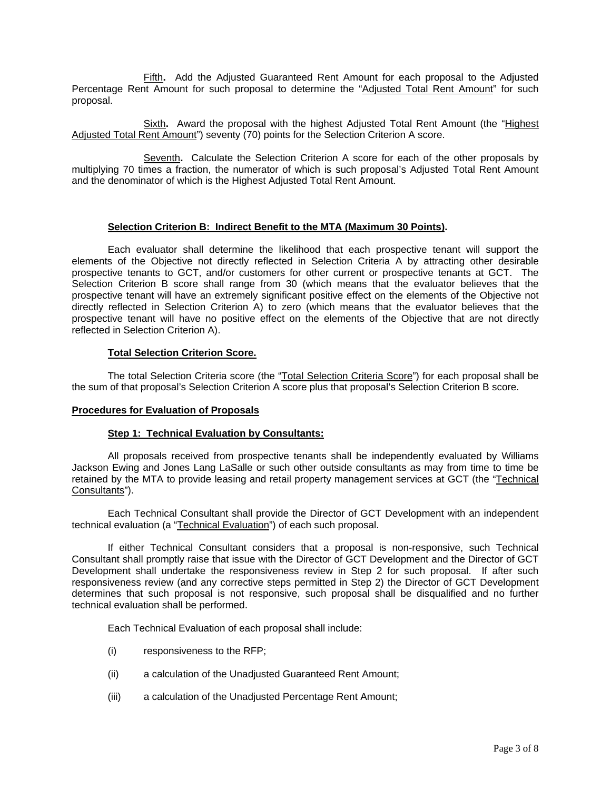Fifth**.** Add the Adjusted Guaranteed Rent Amount for each proposal to the Adjusted Percentage Rent Amount for such proposal to determine the "Adjusted Total Rent Amount" for such proposal.

Sixth**.** Award the proposal with the highest Adjusted Total Rent Amount (the "Highest Adjusted Total Rent Amount") seventy (70) points for the Selection Criterion A score.

Seventh**.** Calculate the Selection Criterion A score for each of the other proposals by multiplying 70 times a fraction, the numerator of which is such proposal's Adjusted Total Rent Amount and the denominator of which is the Highest Adjusted Total Rent Amount.

## **Selection Criterion B: Indirect Benefit to the MTA (Maximum 30 Points).**

Each evaluator shall determine the likelihood that each prospective tenant will support the elements of the Objective not directly reflected in Selection Criteria A by attracting other desirable prospective tenants to GCT, and/or customers for other current or prospective tenants at GCT. The Selection Criterion B score shall range from 30 (which means that the evaluator believes that the prospective tenant will have an extremely significant positive effect on the elements of the Objective not directly reflected in Selection Criterion A) to zero (which means that the evaluator believes that the prospective tenant will have no positive effect on the elements of the Objective that are not directly reflected in Selection Criterion A).

## **Total Selection Criterion Score.**

The total Selection Criteria score (the "Total Selection Criteria Score") for each proposal shall be the sum of that proposal's Selection Criterion A score plus that proposal's Selection Criterion B score.

#### **Procedures for Evaluation of Proposals**

# **Step 1: Technical Evaluation by Consultants:**

 All proposals received from prospective tenants shall be independently evaluated by Williams Jackson Ewing and Jones Lang LaSalle or such other outside consultants as may from time to time be retained by the MTA to provide leasing and retail property management services at GCT (the "Technical Consultants").

 Each Technical Consultant shall provide the Director of GCT Development with an independent technical evaluation (a "Technical Evaluation") of each such proposal.

 If either Technical Consultant considers that a proposal is non-responsive, such Technical Consultant shall promptly raise that issue with the Director of GCT Development and the Director of GCT Development shall undertake the responsiveness review in Step 2 for such proposal. If after such responsiveness review (and any corrective steps permitted in Step 2) the Director of GCT Development determines that such proposal is not responsive, such proposal shall be disqualified and no further technical evaluation shall be performed.

Each Technical Evaluation of each proposal shall include:

- (i) responsiveness to the RFP;
- (ii) a calculation of the Unadjusted Guaranteed Rent Amount;
- (iii) a calculation of the Unadjusted Percentage Rent Amount;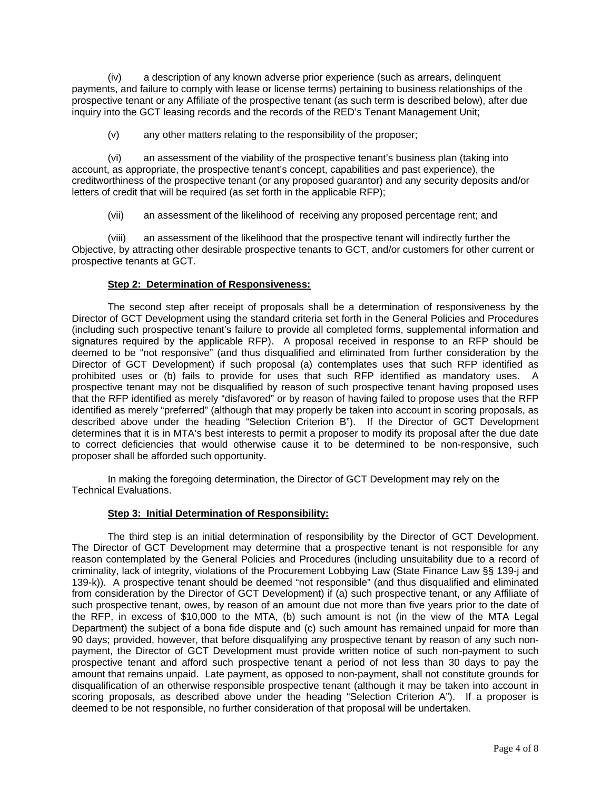(iv) a description of any known adverse prior experience (such as arrears, delinquent payments, and failure to comply with lease or license terms) pertaining to business relationships of the prospective tenant or any Affiliate of the prospective tenant (as such term is described below), after due inquiry into the GCT leasing records and the records of the RED's Tenant Management Unit;

(v) any other matters relating to the responsibility of the proposer;

 (vi) an assessment of the viability of the prospective tenant's business plan (taking into account, as appropriate, the prospective tenant's concept, capabilities and past experience), the creditworthiness of the prospective tenant (or any proposed guarantor) and any security deposits and/or letters of credit that will be required (as set forth in the applicable RFP);

(vii) an assessment of the likelihood of receiving any proposed percentage rent; and

 (viii) an assessment of the likelihood that the prospective tenant will indirectly further the Objective, by attracting other desirable prospective tenants to GCT, and/or customers for other current or prospective tenants at GCT.

## **Step 2: Determination of Responsiveness:**

 The second step after receipt of proposals shall be a determination of responsiveness by the Director of GCT Development using the standard criteria set forth in the General Policies and Procedures (including such prospective tenant's failure to provide all completed forms, supplemental information and signatures required by the applicable RFP). A proposal received in response to an RFP should be deemed to be "not responsive" (and thus disqualified and eliminated from further consideration by the Director of GCT Development) if such proposal (a) contemplates uses that such RFP identified as prohibited uses or (b) fails to provide for uses that such RFP identified as mandatory uses. A prospective tenant may not be disqualified by reason of such prospective tenant having proposed uses that the RFP identified as merely "disfavored" or by reason of having failed to propose uses that the RFP identified as merely "preferred" (although that may properly be taken into account in scoring proposals, as described above under the heading "Selection Criterion B"). If the Director of GCT Development determines that it is in MTA's best interests to permit a proposer to modify its proposal after the due date to correct deficiencies that would otherwise cause it to be determined to be non-responsive, such proposer shall be afforded such opportunity.

 In making the foregoing determination, the Director of GCT Development may rely on the Technical Evaluations.

# **Step 3: Initial Determination of Responsibility:**

The third step is an initial determination of responsibility by the Director of GCT Development. The Director of GCT Development may determine that a prospective tenant is not responsible for any reason contemplated by the General Policies and Procedures (including unsuitability due to a record of criminality, lack of integrity, violations of the Procurement Lobbying Law (State Finance Law §§ 139-j and 139-k)). A prospective tenant should be deemed "not responsible" (and thus disqualified and eliminated from consideration by the Director of GCT Development) if (a) such prospective tenant, or any Affiliate of such prospective tenant, owes, by reason of an amount due not more than five years prior to the date of the RFP, in excess of \$10,000 to the MTA, (b) such amount is not (in the view of the MTA Legal Department) the subject of a bona fide dispute and (c) such amount has remained unpaid for more than 90 days; provided, however, that before disqualifying any prospective tenant by reason of any such nonpayment, the Director of GCT Development must provide written notice of such non-payment to such prospective tenant and afford such prospective tenant a period of not less than 30 days to pay the amount that remains unpaid. Late payment, as opposed to non-payment, shall not constitute grounds for disqualification of an otherwise responsible prospective tenant (although it may be taken into account in scoring proposals, as described above under the heading "Selection Criterion A"). If a proposer is deemed to be not responsible, no further consideration of that proposal will be undertaken.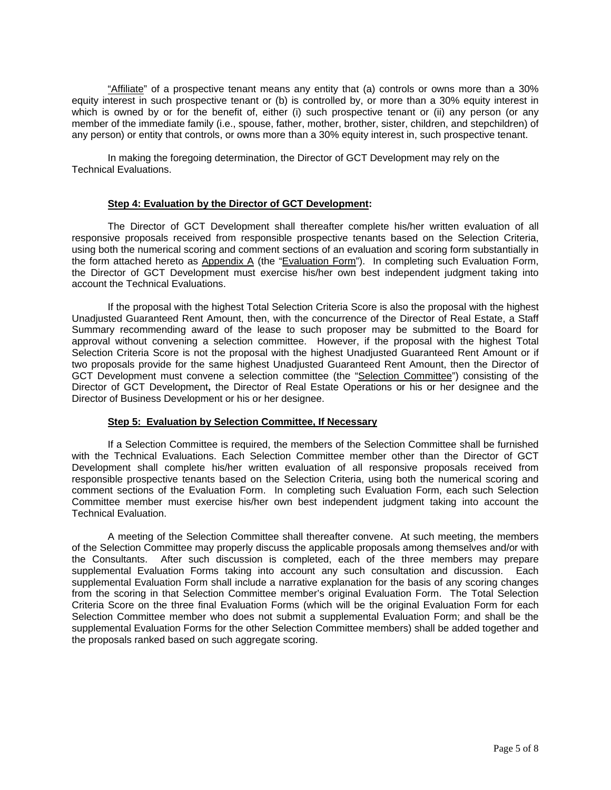"Affiliate" of a prospective tenant means any entity that (a) controls or owns more than a 30% equity interest in such prospective tenant or (b) is controlled by, or more than a 30% equity interest in which is owned by or for the benefit of, either (i) such prospective tenant or (ii) any person (or any member of the immediate family (i.e., spouse, father, mother, brother, sister, children, and stepchildren) of any person) or entity that controls, or owns more than a 30% equity interest in, such prospective tenant.

In making the foregoing determination, the Director of GCT Development may rely on the Technical Evaluations.

#### **Step 4: Evaluation by the Director of GCT Development:**

 The Director of GCT Development shall thereafter complete his/her written evaluation of all responsive proposals received from responsible prospective tenants based on the Selection Criteria, using both the numerical scoring and comment sections of an evaluation and scoring form substantially in the form attached hereto as Appendix A (the "Evaluation Form"). In completing such Evaluation Form, the Director of GCT Development must exercise his/her own best independent judgment taking into account the Technical Evaluations.

 If the proposal with the highest Total Selection Criteria Score is also the proposal with the highest Unadjusted Guaranteed Rent Amount, then, with the concurrence of the Director of Real Estate, a Staff Summary recommending award of the lease to such proposer may be submitted to the Board for approval without convening a selection committee. However, if the proposal with the highest Total Selection Criteria Score is not the proposal with the highest Unadjusted Guaranteed Rent Amount or if two proposals provide for the same highest Unadjusted Guaranteed Rent Amount, then the Director of GCT Development must convene a selection committee (the "Selection Committee") consisting of the Director of GCT Development**,** the Director of Real Estate Operations or his or her designee and the Director of Business Development or his or her designee.

#### **Step 5: Evaluation by Selection Committee, If Necessary**

If a Selection Committee is required, the members of the Selection Committee shall be furnished with the Technical Evaluations. Each Selection Committee member other than the Director of GCT Development shall complete his/her written evaluation of all responsive proposals received from responsible prospective tenants based on the Selection Criteria, using both the numerical scoring and comment sections of the Evaluation Form. In completing such Evaluation Form, each such Selection Committee member must exercise his/her own best independent judgment taking into account the Technical Evaluation.

A meeting of the Selection Committee shall thereafter convene. At such meeting, the members of the Selection Committee may properly discuss the applicable proposals among themselves and/or with the Consultants. After such discussion is completed, each of the three members may prepare supplemental Evaluation Forms taking into account any such consultation and discussion. Each supplemental Evaluation Form shall include a narrative explanation for the basis of any scoring changes from the scoring in that Selection Committee member's original Evaluation Form. The Total Selection Criteria Score on the three final Evaluation Forms (which will be the original Evaluation Form for each Selection Committee member who does not submit a supplemental Evaluation Form; and shall be the supplemental Evaluation Forms for the other Selection Committee members) shall be added together and the proposals ranked based on such aggregate scoring.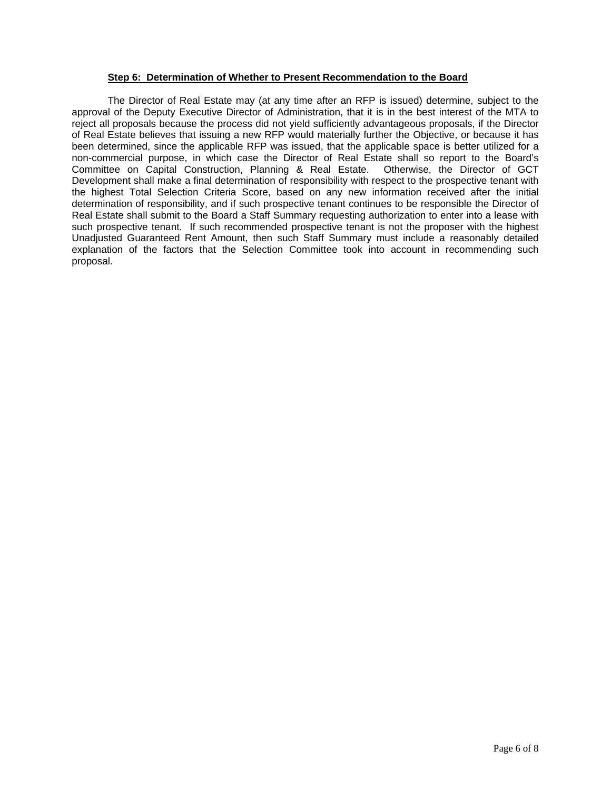### **Step 6: Determination of Whether to Present Recommendation to the Board**

 The Director of Real Estate may (at any time after an RFP is issued) determine, subject to the approval of the Deputy Executive Director of Administration, that it is in the best interest of the MTA to reject all proposals because the process did not yield sufficiently advantageous proposals, if the Director of Real Estate believes that issuing a new RFP would materially further the Objective, or because it has been determined, since the applicable RFP was issued, that the applicable space is better utilized for a non-commercial purpose, in which case the Director of Real Estate shall so report to the Board's Committee on Capital Construction, Planning & Real Estate. Otherwise, the Director of GCT Development shall make a final determination of responsibility with respect to the prospective tenant with the highest Total Selection Criteria Score, based on any new information received after the initial determination of responsibility, and if such prospective tenant continues to be responsible the Director of Real Estate shall submit to the Board a Staff Summary requesting authorization to enter into a lease with such prospective tenant. If such recommended prospective tenant is not the proposer with the highest Unadjusted Guaranteed Rent Amount, then such Staff Summary must include a reasonably detailed explanation of the factors that the Selection Committee took into account in recommending such proposal.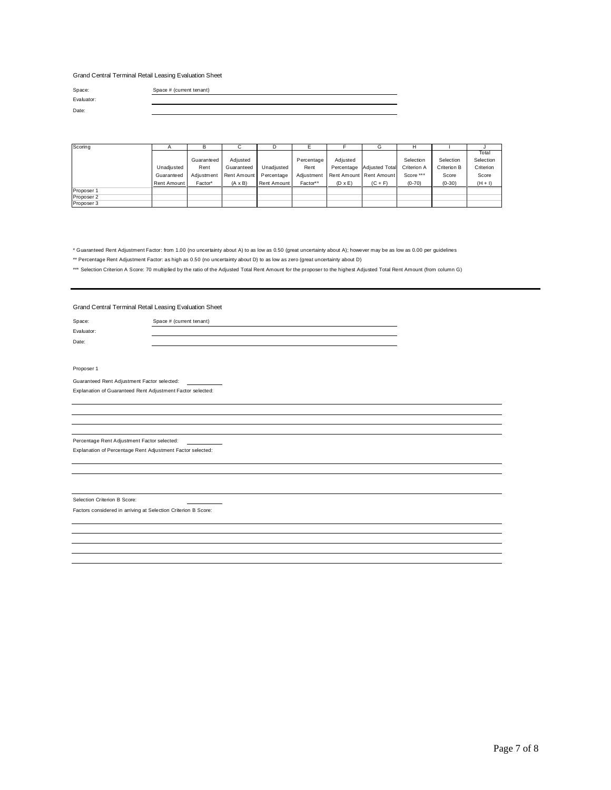Grand Central Terminal Retail Leasing Evaluation Sheet

Evaluator: Date:

Space: Space # (current tenant)

| Scoring    |             |            |                |             |            |                |                           |             |             |           |
|------------|-------------|------------|----------------|-------------|------------|----------------|---------------------------|-------------|-------------|-----------|
|            |             |            |                |             |            |                |                           |             |             | Total     |
|            |             | Guaranteed | Adiusted       |             | Percentage | Adiusted       |                           | Selection   | Selection   | Selection |
|            | Unadiusted  | Rent       | Guaranteed     | Unadiusted  | Rent       |                | Percentage Adjusted Total | Criterion A | Criterion B | Criterion |
|            | Guaranteed  | Adiustment | Rent Amount    | Percentage  | Adiustment |                | Rent Amount Rent Amount   | Score ***   | Score       | Score     |
|            | Rent Amount | Factor*    | $(A \times B)$ | Rent Amount | Factor**   | $(D \times E)$ | $(C + F)$                 | $(0-70)$    | $(0-30)$    | $(H + I)$ |
| Proposer 1 |             |            |                |             |            |                |                           |             |             |           |
| Proposer 2 |             |            |                |             |            |                |                           |             |             |           |
| Proposer 3 |             |            |                |             |            |                |                           |             |             |           |

\* Guaranteed Rent Adjustment Factor: from 1.00 (no uncertainty about A) to as low as 0.50 (great uncertainty about A); however may be as low as 0.00 per guidelines

\*\* Percentage Rent Adjustment Factor: as high as 0.50 (no uncertainty about D) to as low as zero (great uncertainty about D)

\*\*\* Selection Criterion A Score: 70 multiplied by the ratio of the Adjusted Total Rent Amount for the proposer to the highest Adjusted Total Rent Amount (from column G)

Grand Central Terminal Retail Leasing Evaluation Sheet

Space: Space # (current tenant) Evaluator:

Date:

Proposer 1

Guaranteed Rent Adjustment Factor selected: Explanation of Guaranteed Rent Adjustment Factor selected:

Percentage Rent Adjustment Factor selected:

Explanation of Percentage Rent Adjustment Factor selected:

Selection Criterion B Score:

Factors considered in arriving at Selection Criterion B Score: